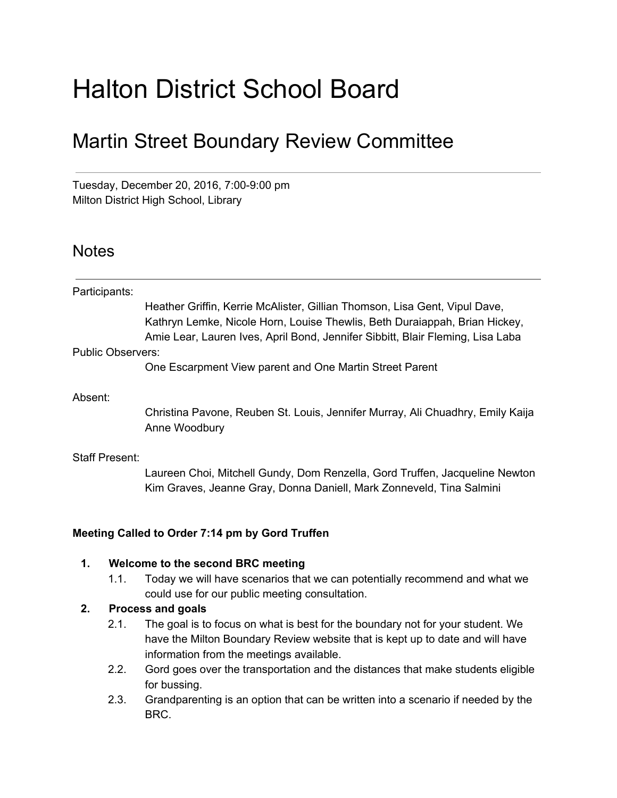# Halton District School Board

### Martin Street Boundary Review Committee

Tuesday, December 20, 2016, 7:00-9:00 pm Milton District High School, Library

#### **Notes**

| Participants:     |                                                                                                                                                                                                                                            |
|-------------------|--------------------------------------------------------------------------------------------------------------------------------------------------------------------------------------------------------------------------------------------|
|                   | Heather Griffin, Kerrie McAlister, Gillian Thomson, Lisa Gent, Vipul Dave,<br>Kathryn Lemke, Nicole Horn, Louise Thewlis, Beth Duraiappah, Brian Hickey,<br>Amie Lear, Lauren Ives, April Bond, Jennifer Sibbitt, Blair Fleming, Lisa Laba |
| Public Observers: |                                                                                                                                                                                                                                            |
|                   | One Escarpment View parent and One Martin Street Parent                                                                                                                                                                                    |
| Absent:           |                                                                                                                                                                                                                                            |
|                   | Christina Pavone, Reuben St. Louis, Jennifer Murray, Ali Chuadhry, Emily Kaija<br>Anne Woodbury                                                                                                                                            |

#### Staff Present:

Laureen Choi, Mitchell Gundy, Dom Renzella, Gord Truffen, Jacqueline Newton Kim Graves, Jeanne Gray, Donna Daniell, Mark Zonneveld, Tina Salmini

#### **Meeting Called to Order 7:14 pm by Gord Truffen**

#### **1. Welcome to the second BRC meeting**

1.1. Today we will have scenarios that we can potentially recommend and what we could use for our public meeting consultation.

#### **2. Process and goals**

- 2.1. The goal is to focus on what is best for the boundary not for your student. We have the Milton Boundary Review website that is kept up to date and will have information from the meetings available.
- 2.2. Gord goes over the transportation and the distances that make students eligible for bussing.
- 2.3. Grandparenting is an option that can be written into a scenario if needed by the BRC.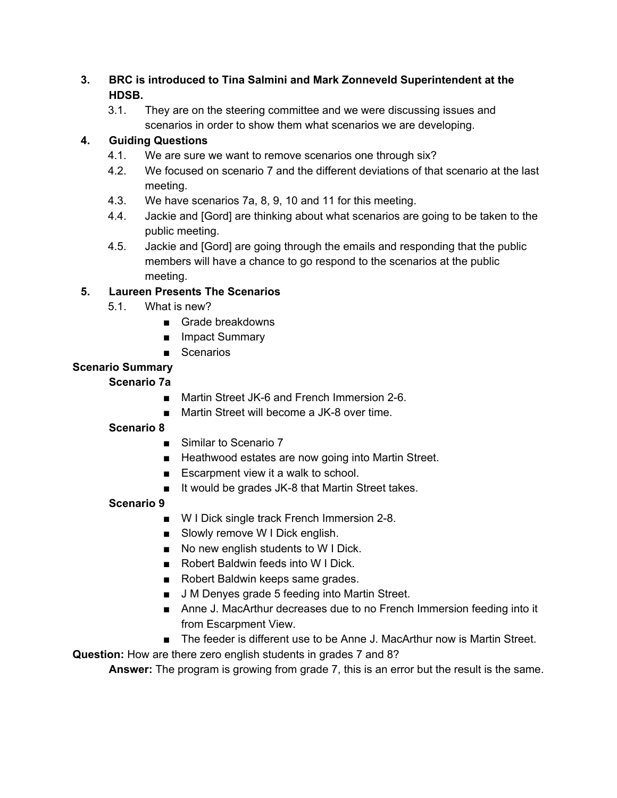#### **3. BRC is introduced to Tina Salmini and Mark Zonneveld Superintendent at the HDSB.**

3.1. They are on the steering committee and we were discussing issues and scenarios in order to show them what scenarios we are developing.

#### **4. Guiding Questions**

- 4.1. We are sure we want to remove scenarios one through six?
- 4.2. We focused on scenario 7 and the different deviations of that scenario at the last meeting.
- 4.3. We have scenarios 7a, 8, 9, 10 and 11 for this meeting.
- 4.4. Jackie and [Gord] are thinking about what scenarios are going to be taken to the public meeting.
- 4.5. Jackie and [Gord] are going through the emails and responding that the public members will have a chance to go respond to the scenarios at the public meeting.

#### **5. Laureen Presents The Scenarios**

- 5.1. What is new?
	- Grade breakdowns
	- Impact Summary
	- Scenarios

#### **Scenario Summary**

#### **Scenario 7a**

- Martin Street JK-6 and French Immersion 2-6.
- Martin Street will become a JK-8 over time.

#### **Scenario 8**

- Similar to Scenario 7
- Heathwood estates are now going into Martin Street.
- Escarpment view it a walk to school.
- It would be grades JK-8 that Martin Street takes.

#### **Scenario 9**

- W I Dick single track French Immersion 2-8.
- Slowly remove W I Dick english.
- No new english students to W I Dick.
- Robert Baldwin feeds into W I Dick.
- Robert Baldwin keeps same grades.
- J M Denyes grade 5 feeding into Martin Street.
- Anne J. MacArthur decreases due to no French Immersion feeding into it from Escarpment View.
- The feeder is different use to be Anne J. MacArthur now is Martin Street.

**Question:** How are there zero english students in grades 7 and 8?

**Answer:** The program is growing from grade 7, this is an error but the result is the same.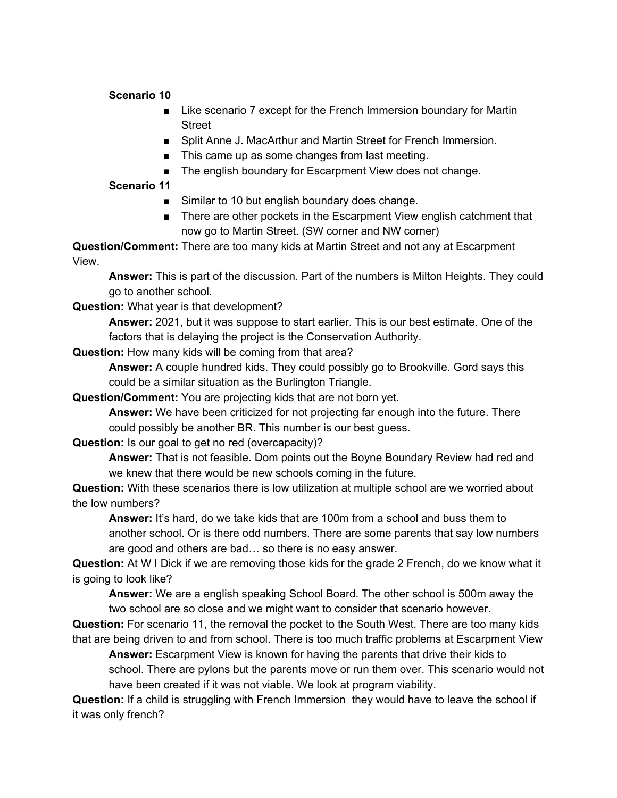#### **Scenario 10**

- Like scenario 7 except for the French Immersion boundary for Martin Street
- Split Anne J. MacArthur and Martin Street for French Immersion.
- This came up as some changes from last meeting.
- The english boundary for Escarpment View does not change.

#### **Scenario 11**

- Similar to 10 but english boundary does change.
- There are other pockets in the Escarpment View english catchment that now go to Martin Street. (SW corner and NW corner)

**Question/Comment:** There are too many kids at Martin Street and not any at Escarpment View.

**Answer:** This is part of the discussion. Part of the numbers is Milton Heights. They could go to another school.

**Question:** What year is that development?

**Answer:** 2021, but it was suppose to start earlier. This is our best estimate. One of the factors that is delaying the project is the Conservation Authority.

**Question:** How many kids will be coming from that area?

**Answer:** A couple hundred kids. They could possibly go to Brookville. Gord says this could be a similar situation as the Burlington Triangle.

**Question/Comment:** You are projecting kids that are not born yet.

**Answer:** We have been criticized for not projecting far enough into the future. There could possibly be another BR. This number is our best guess.

#### **Question:** Is our goal to get no red (overcapacity)?

**Answer:** That is not feasible. Dom points out the Boyne Boundary Review had red and we knew that there would be new schools coming in the future.

**Question:** With these scenarios there is low utilization at multiple school are we worried about the low numbers?

**Answer:** It's hard, do we take kids that are 100m from a school and buss them to another school. Or is there odd numbers. There are some parents that say low numbers are good and others are bad… so there is no easy answer.

**Question:** At W I Dick if we are removing those kids for the grade 2 French, do we know what it is going to look like?

**Answer:** We are a english speaking School Board. The other school is 500m away the two school are so close and we might want to consider that scenario however.

**Question:** For scenario 11, the removal the pocket to the South West. There are too many kids that are being driven to and from school. There is too much traffic problems at Escarpment View

**Answer:** Escarpment View is known for having the parents that drive their kids to school. There are pylons but the parents move or run them over. This scenario would not have been created if it was not viable. We look at program viability.

**Question:** If a child is struggling with French Immersion they would have to leave the school if it was only french?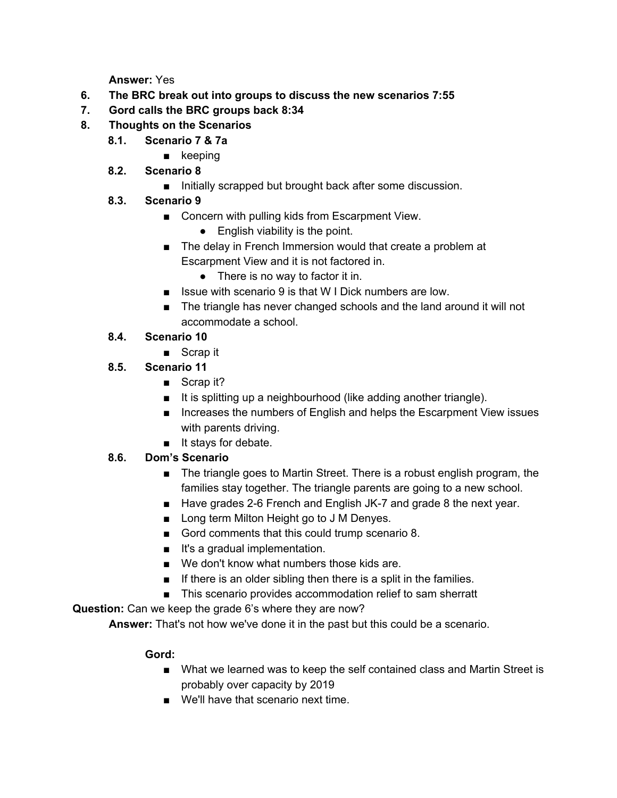**Answer:** Yes

- **6. The BRC break out into groups to discuss the new scenarios 7:55**
- **7. Gord calls the BRC groups back 8:34**
- **8. Thoughts on the Scenarios**
	- **8.1. Scenario 7 & 7a**
		- keeping
	- **8.2. Scenario 8**
		- Initially scrapped but brought back after some discussion.
	- **8.3. Scenario 9**
		- Concern with pulling kids from Escarpment View.
			- $\bullet$  English viability is the point.
		- The delay in French Immersion would that create a problem at Escarpment View and it is not factored in.
			- There is no way to factor it in.
		- Issue with scenario 9 is that W I Dick numbers are low.
		- The triangle has never changed schools and the land around it will not accommodate a school.

#### **8.4. Scenario 10**

- Scrap it
- **8.5. Scenario 11**
	- Scrap it?
	- It is splitting up a neighbourhood (like adding another triangle).
	- Increases the numbers of English and helps the Escarpment View issues with parents driving.
	- It stays for debate.

#### **8.6. Dom's Scenario**

- The triangle goes to Martin Street. There is a robust english program, the families stay together. The triangle parents are going to a new school.
- Have grades 2-6 French and English JK-7 and grade 8 the next year.
- Long term Milton Height go to J M Denyes.
- Gord comments that this could trump scenario 8.
- It's a gradual implementation.
- We don't know what numbers those kids are.
- $\blacksquare$  If there is an older sibling then there is a split in the families.
- This scenario provides accommodation relief to sam sherratt

#### **Question:** Can we keep the grade 6's where they are now?

**Answer:** That's not how we've done it in the past but this could be a scenario.

#### **Gord:**

- What we learned was to keep the self contained class and Martin Street is probably over capacity by 2019
- We'll have that scenario next time.